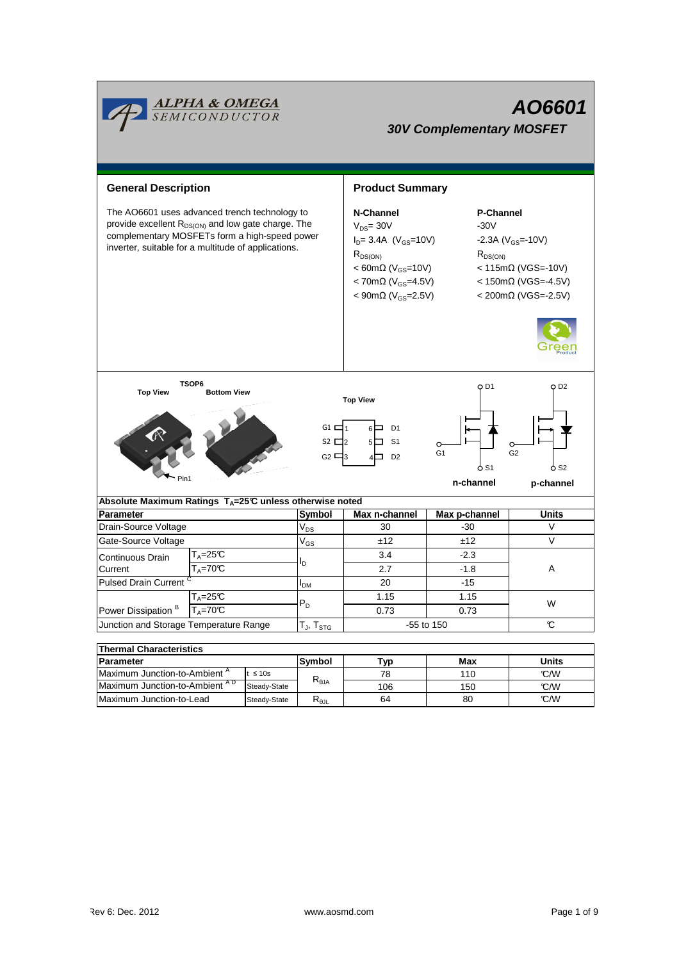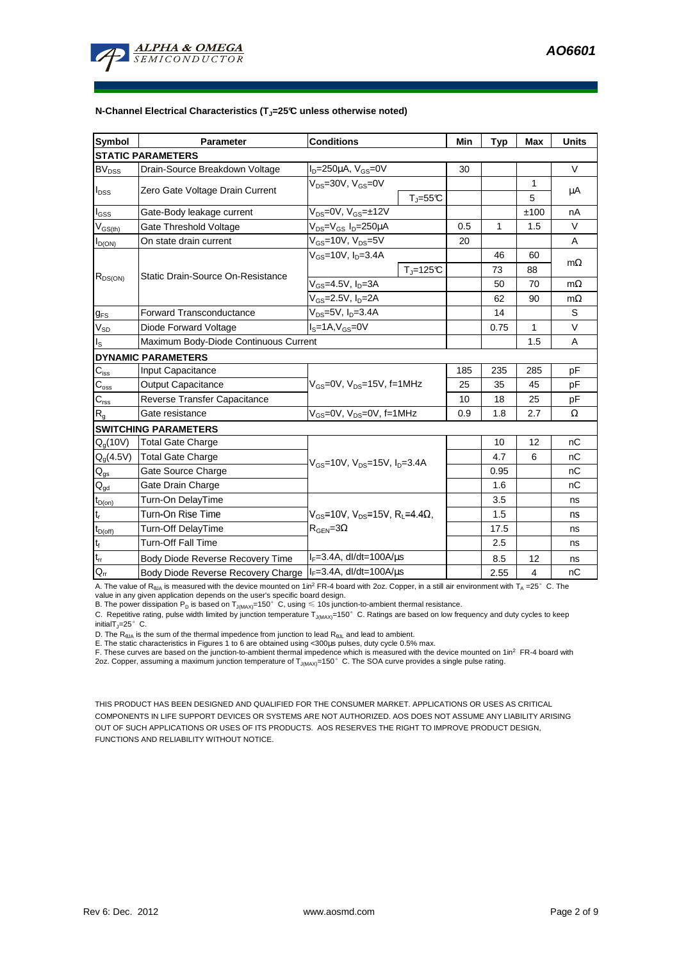

#### **N-Channel Electrical Characteristics (TJ=25°C unless otherwise noted)**

| Symbol                       | <b>Parameter</b>                      | <b>Conditions</b>                                                                                 |                          | Min | Typ  | <b>Max</b>     | <b>Units</b> |  |  |  |  |
|------------------------------|---------------------------------------|---------------------------------------------------------------------------------------------------|--------------------------|-----|------|----------------|--------------|--|--|--|--|
| <b>STATIC PARAMETERS</b>     |                                       |                                                                                                   |                          |     |      |                |              |  |  |  |  |
| <b>BV</b> <sub>DSS</sub>     | Drain-Source Breakdown Voltage        | $I_D = 250 \mu A$ , $V_{GS} = 0V$                                                                 |                          | 30  |      |                | $\vee$       |  |  |  |  |
| <b>I</b> <sub>DSS</sub>      | Zero Gate Voltage Drain Current       | $V_{DS} = 30V$ , $V_{GS} = 0V$<br>$T_{\parallel} = 55^{\circ}C$                                   |                          |     |      | 1              | μA           |  |  |  |  |
|                              |                                       |                                                                                                   |                          |     |      | 5              |              |  |  |  |  |
| $I_{GSS}$                    | Gate-Body leakage current             | $V_{DS} = 0V$ , $V_{GS} = \pm 12V$                                                                |                          |     |      | ±100           | nA           |  |  |  |  |
| $V_{GS(th)}$                 | Gate Threshold Voltage                | V <sub>DS</sub> =V <sub>GS</sub> I <sub>D</sub> =250µA                                            |                          | 0.5 | 1    | 1.5            | V            |  |  |  |  |
| $I_{D(ON)}$                  | On state drain current                | $V_{GS}$ =10V, $V_{DS}$ =5V                                                                       |                          | 20  |      |                | A            |  |  |  |  |
|                              | Static Drain-Source On-Resistance     | $V_{GS}$ =10V, $I_{D}$ =3.4A                                                                      |                          |     | 46   | 60             |              |  |  |  |  |
| $R_{DS(ON)}$                 |                                       |                                                                                                   | $T_{\parallel} = 125$ °C |     | 73   | 88             | $m\Omega$    |  |  |  |  |
|                              |                                       | $V_{GS}$ =4.5V, $I_D$ =3A                                                                         |                          |     | 50   | 70             | $m\Omega$    |  |  |  |  |
|                              |                                       | $V_{GS}$ =2.5V, $I_{D}$ =2A                                                                       |                          |     | 62   | 90             | $m\Omega$    |  |  |  |  |
| <b>g</b> <sub>FS</sub>       | <b>Forward Transconductance</b>       | $V_{DS} = 5V$ , $I_D = 3.4A$                                                                      |                          |     | 14   |                | S            |  |  |  |  |
| $V_{SD}$                     | Diode Forward Voltage                 | $IS=1A, VGS=0V$                                                                                   |                          |     | 0.75 | $\mathbf{1}$   | $\vee$       |  |  |  |  |
| Is                           | Maximum Body-Diode Continuous Current |                                                                                                   |                          |     |      | 1.5            | A            |  |  |  |  |
|                              | <b>DYNAMIC PARAMETERS</b>             |                                                                                                   |                          |     |      |                |              |  |  |  |  |
| $C_{\underline{\text{iss}}}$ | Input Capacitance                     | $V_{GS}$ =0V, $V_{DS}$ =15V, f=1MHz                                                               |                          | 185 | 235  | 285            | pF           |  |  |  |  |
| $\mathsf{C}_{\text{oss}}$    | <b>Output Capacitance</b>             |                                                                                                   |                          | 25  | 35   | 45             | pF           |  |  |  |  |
| $C_{\text{rss}}$             | Reverse Transfer Capacitance          |                                                                                                   |                          | 10  | 18   | 25             | pF           |  |  |  |  |
| $R_{q}$                      | Gate resistance                       | $V_{GS}$ =0V, $V_{DS}$ =0V, f=1MHz                                                                |                          | 0.9 | 1.8  | 2.7            | Ω            |  |  |  |  |
| <b>SWITCHING PARAMETERS</b>  |                                       |                                                                                                   |                          |     |      |                |              |  |  |  |  |
| $Q_q(10V)$                   | <b>Total Gate Charge</b>              | $V_{GS}$ =10V, $V_{DS}$ =15V, $I_{D}$ =3.4A                                                       |                          |     | 10   | 12             | nC           |  |  |  |  |
| $Q_q(4.5V)$                  | <b>Total Gate Charge</b>              |                                                                                                   |                          |     | 4.7  | 6              | nC           |  |  |  |  |
| $Q_{gs}$                     | Gate Source Charge                    |                                                                                                   |                          |     | 0.95 |                | nC           |  |  |  |  |
| $\mathsf{Q}_{\text{gd}}$     | Gate Drain Charge                     |                                                                                                   |                          |     | 1.6  |                | nC           |  |  |  |  |
| $t_{D(on)}$                  | Turn-On DelayTime                     | $V_{\text{GS}} = 10V$ , $V_{\text{DS}} = 15V$ , $R_1 = 4.4\Omega$ ,<br>$R_{\text{GEN}} = 3\Omega$ |                          |     | 3.5  |                | ns           |  |  |  |  |
| $t_r$                        | Turn-On Rise Time                     |                                                                                                   |                          |     | 1.5  |                | ns           |  |  |  |  |
| $t_{D(off)}$                 | Turn-Off DelayTime                    |                                                                                                   |                          |     | 17.5 |                | ns           |  |  |  |  |
| $\mathbf{t}_\text{f}$        | <b>Turn-Off Fall Time</b>             |                                                                                                   |                          |     | 2.5  |                | ns           |  |  |  |  |
| $\mathfrak{t}_{\text{rr}}$   | Body Diode Reverse Recovery Time      | $I_F = 3.4A$ , dl/dt=100A/ $\mu$ s                                                                |                          |     | 8.5  | 12             | ns           |  |  |  |  |
| $Q_{rr}$                     | Body Diode Reverse Recovery Charge    | $I_F = 3.4A$ , dl/dt=100A/ $\mu$ s                                                                |                          |     | 2.55 | $\overline{4}$ | nC           |  |  |  |  |

A. The value of R<sub>BJA</sub> is measured with the device mounted on 1in<sup>2</sup> FR-4 board with 2oz. Copper, in a still air environment with T<sub>A</sub> =25° C. The value in any given application depends on the user's specific board design.

B. The power dissipation P<sub>D</sub> is based on T<sub>J(MAX)</sub>=150°C, using  $\leq 10$ s junction-to-ambient thermal resistance.

C. Repetitive rating, pulse width limited by junction temperature  $T_{J(MAX)}$ =150°C. Ratings are based on low frequency and duty cycles to keep initialT $j=25^\circ$  C.

D. The  $R_{AIA}$  is the sum of the thermal impedence from junction to lead  $R_{AJI}$  and lead to ambient.

E. The static characteristics in Figures 1 to 6 are obtained using <300µs pulses, duty cycle 0.5% max.

F. These curves are based on the junction-to-ambient thermal impedence which is measured with the device mounted on 1in<sup>2</sup> FR-4 board with 2oz. Copper, assuming a maximum junction temperature of  $T_{J(MAX)}=150^\circ$  C. The SOA curve provides a single pulse rating.

THIS PRODUCT HAS BEEN DESIGNED AND QUALIFIED FOR THE CONSUMER MARKET. APPLICATIONS OR USES AS CRITICAL COMPONENTS IN LIFE SUPPORT DEVICES OR SYSTEMS ARE NOT AUTHORIZED. AOS DOES NOT ASSUME ANY LIABILITY ARISING OUT OF SUCH APPLICATIONS OR USES OF ITS PRODUCTS. AOS RESERVES THE RIGHT TO IMPROVE PRODUCT DESIGN, FUNCTIONS AND RELIABILITY WITHOUT NOTICE.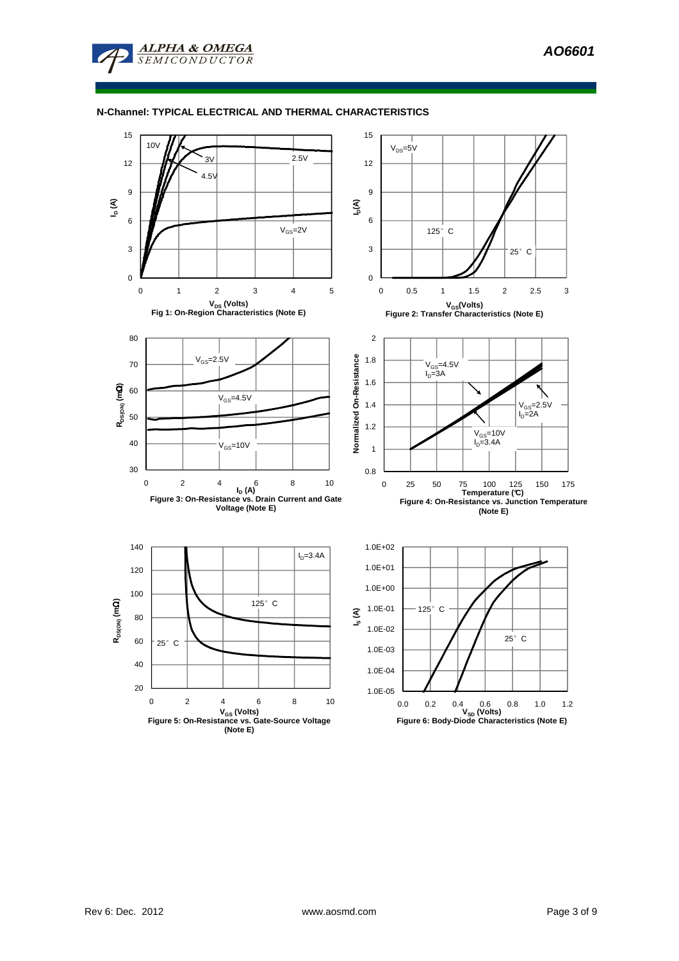

**ALPHA & OMEGA SEMICONDUCTOR** 

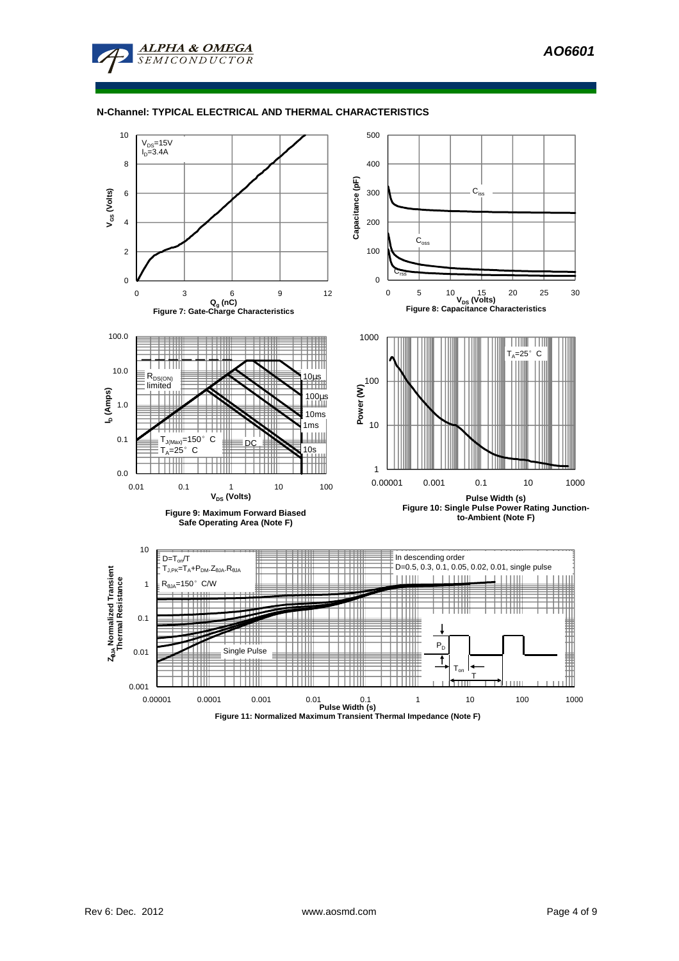

### **N-Channel: TYPICAL ELECTRICAL AND THERMAL CHARACTERISTICS**

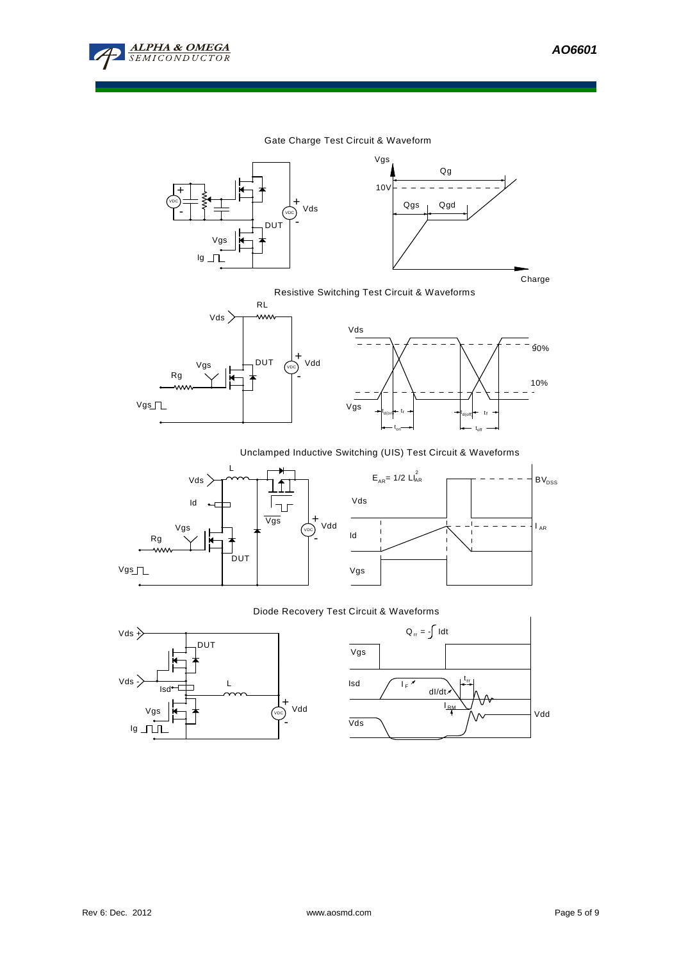

10%

90%

 $\overline{a}$ 

### Gate Charge Test Circuit & Waveform





Resistive Switching Test Circuit & Waveforms



# Unclamped Inductive Switching (UIS) Test Circuit & Waveforms





### Diode Recovery Test Circuit & Waveforms



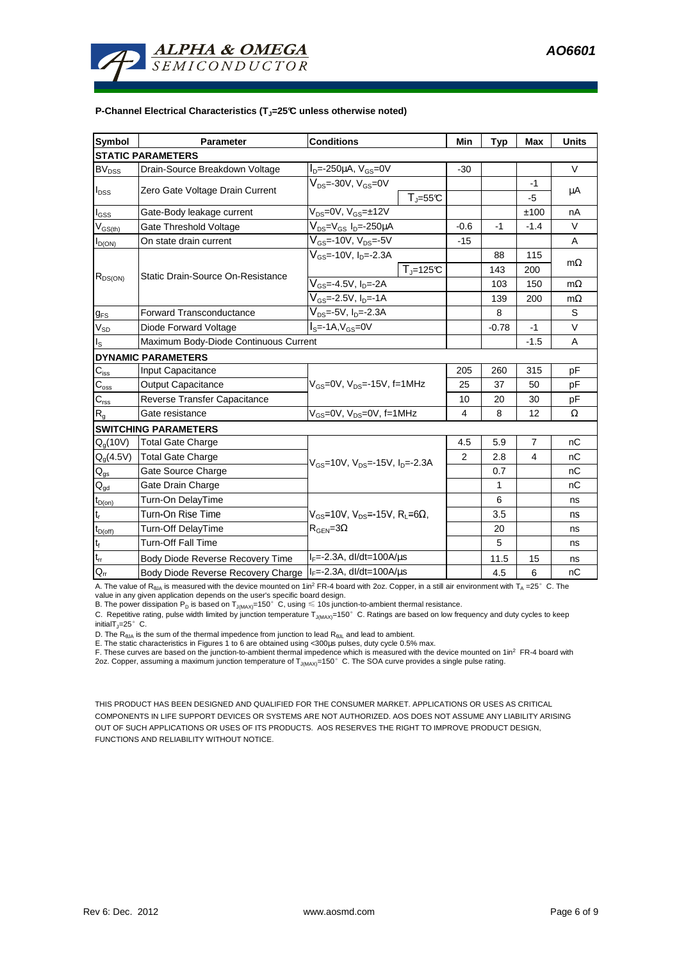

### **P-Channel Electrical Characteristics (TJ=25°C unless otherwise noted)**

| <b>Symbol</b>                          | <b>Parameter</b>                      | <b>Conditions</b>                                                         | Min            | <b>Typ</b> | <b>Max</b>     | <b>Units</b> |  |  |  |  |  |
|----------------------------------------|---------------------------------------|---------------------------------------------------------------------------|----------------|------------|----------------|--------------|--|--|--|--|--|
| <b>STATIC PARAMETERS</b>               |                                       |                                                                           |                |            |                |              |  |  |  |  |  |
| <b>BV<sub>DSS</sub></b>                | Drain-Source Breakdown Voltage        | $I_D = -250 \mu A$ , $V_{GS} = 0V$                                        | $-30$          |            |                | $\vee$       |  |  |  |  |  |
| $I_{DSS}$                              | Zero Gate Voltage Drain Current       | $V_{DS}$ =-30V, $V_{GS}$ =0V                                              |                |            | -1             | μA           |  |  |  |  |  |
|                                        |                                       | $T_{J} = 55C$                                                             |                |            | -5             |              |  |  |  |  |  |
| $I_{GSS}$                              | Gate-Body leakage current             | $V_{DS} = 0V$ , $V_{GS} = \pm 12V$                                        |                |            | ±100           | nA           |  |  |  |  |  |
| $V_{GS(th)}$                           | Gate Threshold Voltage                | $V_{DS}$ = $V_{GS}$ I <sub>D</sub> =-250µA                                | $-0.6$         | -1         | $-1.4$         | $\vee$       |  |  |  |  |  |
| $I_{D(ON)}$                            | On state drain current                | $\rm V_{\rm GS}$ =-10V, V $_{\rm DS}$ =-5V                                | $-15$          |            |                | Α            |  |  |  |  |  |
| $R_{DS(ON)}$                           | Static Drain-Source On-Resistance     | $V_{\rm \tiny{GS}}$ =-10V, I <sub>D</sub> =-2.3A                          |                | 88         | 115            |              |  |  |  |  |  |
|                                        |                                       | $T_{J}$ =125°C                                                            |                | 143        | 200            | $m\Omega$    |  |  |  |  |  |
|                                        |                                       | $V_{GS} = -4.5V, I_D = -2A$                                               |                | 103        | 150            | $m\Omega$    |  |  |  |  |  |
|                                        |                                       | $\rm V_{GS}$ =-2.5V, I <sub>D</sub> =-1A                                  |                | 139        | 200            | $m\Omega$    |  |  |  |  |  |
| <b>g<sub>FS</sub></b>                  | <b>Forward Transconductance</b>       | $V_{DS}$ =-5V, I <sub>D</sub> =-2.3A                                      |                | 8          |                | S            |  |  |  |  |  |
| $V_{SD}$                               | Diode Forward Voltage                 | $IS=-1A, VGS=0V$                                                          |                | $-0.78$    | $-1$           | $\vee$       |  |  |  |  |  |
| Is                                     | Maximum Body-Diode Continuous Current |                                                                           |                |            | $-1.5$         | A            |  |  |  |  |  |
|                                        | <b>DYNAMIC PARAMETERS</b>             |                                                                           |                |            |                |              |  |  |  |  |  |
| $C_{\hbox{\tiny ISS}}$                 | Input Capacitance                     |                                                                           | 205            | 260        | 315            | pF           |  |  |  |  |  |
| $C_{\rm oss}$                          | <b>Output Capacitance</b>             | $V_{GS}$ =0V, $V_{DS}$ =-15V, f=1MHz                                      | 25             | 37         | 50             | pF           |  |  |  |  |  |
| $C_{\text{rss}}$                       | Reverse Transfer Capacitance          |                                                                           | 10             | 20         | 30             | pF           |  |  |  |  |  |
| $R_{q}$                                | Gate resistance                       | $V_{GS}$ =0V, $V_{DS}$ =0V, f=1MHz                                        | 4              | 8          | 12             | Ω            |  |  |  |  |  |
| <b>SWITCHING PARAMETERS</b>            |                                       |                                                                           |                |            |                |              |  |  |  |  |  |
| $Q_g(10V)$                             | <b>Total Gate Charge</b>              |                                                                           | 4.5            | 5.9        | $\overline{7}$ | nC           |  |  |  |  |  |
| $Q_q(4.5V)$                            | <b>Total Gate Charge</b>              | $V_{GS}$ =10V, $V_{DS}$ =-15V, $I_{D}$ =-2.3A                             | $\overline{2}$ | 2.8        | 4              | nC           |  |  |  |  |  |
| $\mathsf{Q}_{\underline{\mathsf{gs}}}$ | Gate Source Charge                    |                                                                           |                | 0.7        |                | nC           |  |  |  |  |  |
| $Q_{gd}$                               | Gate Drain Charge                     |                                                                           |                | 1          |                | nC           |  |  |  |  |  |
| $t_{D(on)}$                            | Turn-On DelayTime                     |                                                                           |                | 6          |                | ns           |  |  |  |  |  |
| t,                                     | Turn-On Rise Time                     | $V_{\text{GS}}$ =10V, $V_{\text{DS}}$ =-15V, $R_{\text{L}}$ =6 $\Omega$ , |                | 3.5        |                | ns           |  |  |  |  |  |
| $t_{D(off)}$                           | <b>Turn-Off DelayTime</b>             | $R_{\text{GEN}} = 3\Omega$                                                |                | 20         |                | ns           |  |  |  |  |  |
| $\mathbf{t}_\text{f}$                  | <b>Turn-Off Fall Time</b>             |                                                                           |                | 5          |                | ns           |  |  |  |  |  |
| $t_{rr}$                               | Body Diode Reverse Recovery Time      | $I_F = -2.3A$ , dl/dt=100A/ $\mu$ s                                       |                | 11.5       | 15             | ns           |  |  |  |  |  |
| $Q_{rr}$                               | Body Diode Reverse Recovery Charge    | $I_F = -2.3A$ , dl/dt=100A/us                                             |                | 4.5        | 6              | nC           |  |  |  |  |  |

A. The value of R<sub>BJA</sub> is measured with the device mounted on 1in<sup>2</sup> FR-4 board with 2oz. Copper, in a still air environment with T<sub>A</sub> =25° C. The value in any given application depends on the user's specific board design.

B. The power dissipation P<sub>D</sub> is based on T<sub>J(MAX)</sub>=150°C, using  $\leq 10$ s junction-to-ambient thermal resistance.

C. Repetitive rating, pulse width limited by junction temperature  $T_{J(MAX)}$ =150°C. Ratings are based on low frequency and duty cycles to keep initialT $j=25^\circ$  C.

D. The  $R_{AIA}$  is the sum of the thermal impedence from junction to lead  $R_{AJI}$  and lead to ambient.

E. The static characteristics in Figures 1 to 6 are obtained using <300µs pulses, duty cycle 0.5% max.

F. These curves are based on the junction-to-ambient thermal impedence which is measured with the device mounted on 1in<sup>2</sup> FR-4 board with 2oz. Copper, assuming a maximum junction temperature of  $T_{J(MAX)}=150^\circ$  C. The SOA curve provides a single pulse rating.

THIS PRODUCT HAS BEEN DESIGNED AND QUALIFIED FOR THE CONSUMER MARKET. APPLICATIONS OR USES AS CRITICAL COMPONENTS IN LIFE SUPPORT DEVICES OR SYSTEMS ARE NOT AUTHORIZED. AOS DOES NOT ASSUME ANY LIABILITY ARISING OUT OF SUCH APPLICATIONS OR USES OF ITS PRODUCTS. AOS RESERVES THE RIGHT TO IMPROVE PRODUCT DESIGN, FUNCTIONS AND RELIABILITY WITHOUT NOTICE.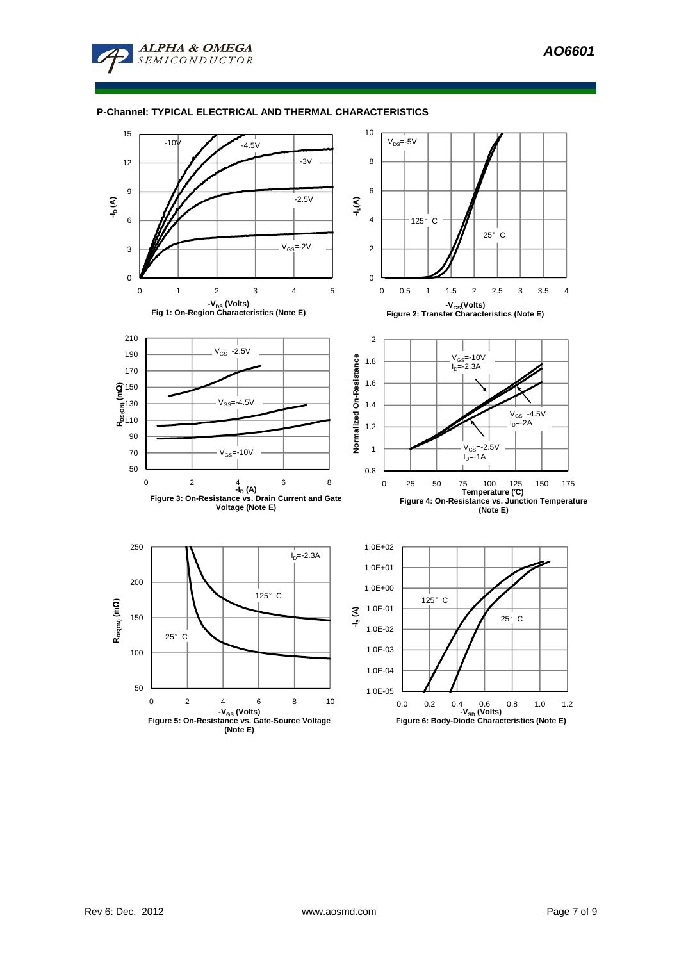## **P-Channel: TYPICAL ELECTRICAL AND THERMAL CHARACTERISTICS**

**ALPHA & OMEGA SEMICONDUCTOR** 

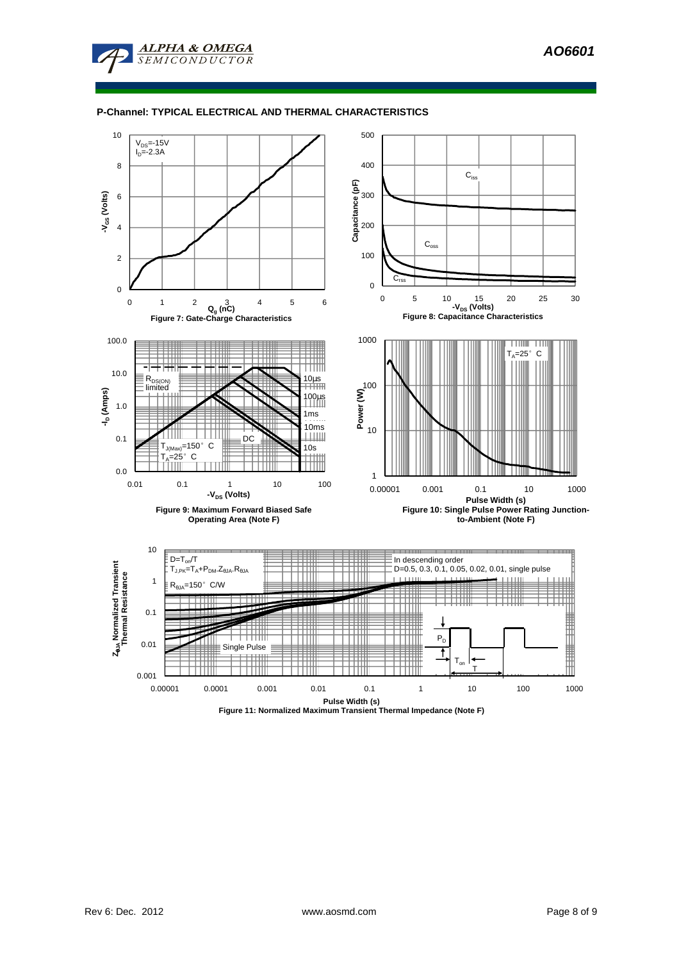**AO6601** 



## **P-Channel: TYPICAL ELECTRICAL AND THERMAL CHARACTERISTICS**